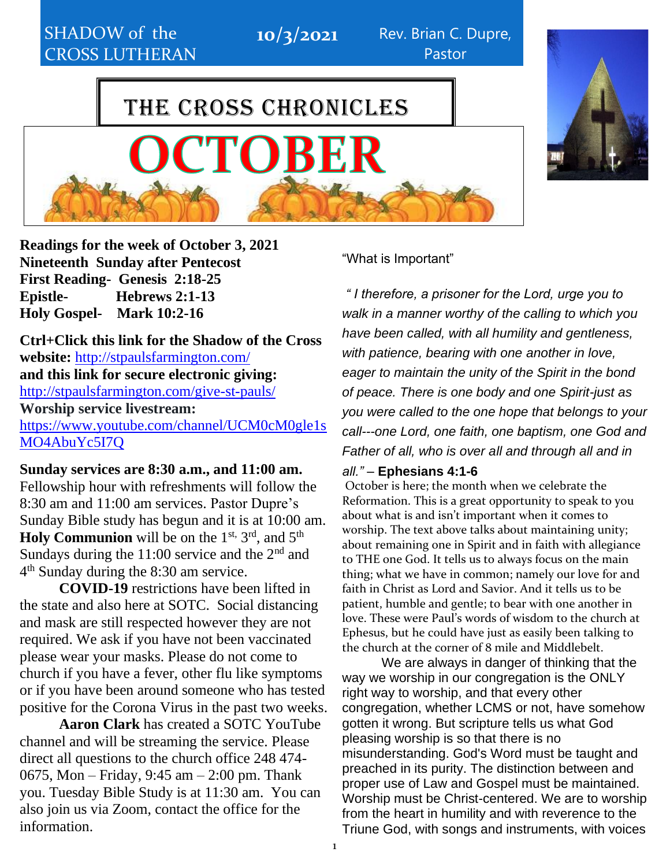CHURCH CHURCH CHURCH CHURCH CHURCH CHURCH CHURCH CHURCH CHURCH CHURCH CHURCH CHURCH CHURCH CHURCH CHURCH CHURCH

10/3/2021 Rev. Brian C. Dupre, Pastor

# THE CROSS CHRONICLES

TOBER



**Readings for the week of October 3, 2021 Nineteenth Sunday after Pentecost First Reading- Genesis 2:18-25 Epistle- Hebrews 2:1-13 Holy Gospel- Mark 10:2-16**

**Ctrl+Click this link for the Shadow of the Cross website:** <http://stpaulsfarmington.com/> **and this link for secure electronic giving:** <http://stpaulsfarmington.com/give-st-pauls/> **Worship service livestream:**  [https://www.youtube.com/channel/UCM0cM0gle1s](https://www.youtube.com/channel/UCM0cM0gle1sMO4AbuYc5I7Q) [MO4AbuYc5I7Q](https://www.youtube.com/channel/UCM0cM0gle1sMO4AbuYc5I7Q)

**Sunday services are 8:30 a.m., and 11:00 am.**

Fellowship hour with refreshments will follow the 8:30 am and 11:00 am services. Pastor Dupre's Sunday Bible study has begun and it is at 10:00 am. Holy Communion will be on the 1<sup>st, 3rd</sup>, and 5<sup>th</sup> Sundays during the  $11:00$  service and the  $2<sup>nd</sup>$  and 4 th Sunday during the 8:30 am service.

**COVID-19** restrictions have been lifted in the state and also here at SOTC. Social distancing and mask are still respected however they are not required. We ask if you have not been vaccinated please wear your masks. Please do not come to church if you have a fever, other flu like symptoms or if you have been around someone who has tested positive for the Corona Virus in the past two weeks.

**Aaron Clark** has created a SOTC YouTube channel and will be streaming the service. Please direct all questions to the church office 248 474- 0675, Mon – Friday, 9:45 am – 2:00 pm. Thank you. Tuesday Bible Study is at 11:30 am. You can also join us via Zoom, contact the office for the information.

"What is Important"

*" I therefore, a prisoner for the Lord, urge you to walk in a manner worthy of the calling to which you have been called, with all humility and gentleness, with patience, bearing with one another in love, eager to maintain the unity of the Spirit in the bond of peace. There is one body and one Spirit-just as you were called to the one hope that belongs to your call---one Lord, one faith, one baptism, one God and Father of all, who is over all and through all and in* 

#### *all."* – **Ephesians 4:1-6**

October is here; the month when we celebrate the Reformation. This is a great opportunity to speak to you about what is and isn't important when it comes to worship. The text above talks about maintaining unity; about remaining one in Spirit and in faith with allegiance to THE one God. It tells us to always focus on the main thing; what we have in common; namely our love for and faith in Christ as Lord and Savior. And it tells us to be patient, humble and gentle; to bear with one another in love. These were Paul's words of wisdom to the church at Ephesus, but he could have just as easily been talking to the church at the corner of 8 mile and Middlebelt.

We are always in danger of thinking that the way we worship in our congregation is the ONLY right way to worship, and that every other congregation, whether LCMS or not, have somehow gotten it wrong. But scripture tells us what God pleasing worship is so that there is no misunderstanding. God's Word must be taught and preached in its purity. The distinction between and proper use of Law and Gospel must be maintained. Worship must be Christ-centered. We are to worship from the heart in humility and with reverence to the Triune God, with songs and instruments, with voices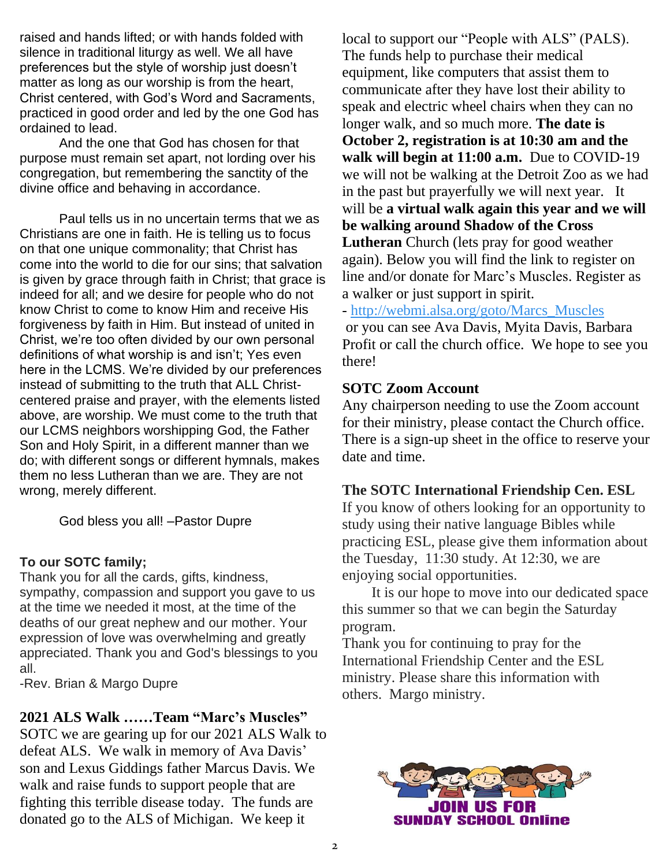raised and hands lifted; or with hands folded with silence in traditional liturgy as well. We all have preferences but the style of worship just doesn't matter as long as our worship is from the heart, Christ centered, with God's Word and Sacraments, practiced in good order and led by the one God has ordained to lead.

And the one that God has chosen for that purpose must remain set apart, not lording over his congregation, but remembering the sanctity of the divine office and behaving in accordance.

Paul tells us in no uncertain terms that we as Christians are one in faith. He is telling us to focus on that one unique commonality; that Christ has come into the world to die for our sins; that salvation is given by grace through faith in Christ; that grace is indeed for all; and we desire for people who do not know Christ to come to know Him and receive His forgiveness by faith in Him. But instead of united in Christ, we're too often divided by our own personal definitions of what worship is and isn't; Yes even here in the LCMS. We're divided by our preferences instead of submitting to the truth that ALL Christcentered praise and prayer, with the elements listed above, are worship. We must come to the truth that our LCMS neighbors worshipping God, the Father Son and Holy Spirit, in a different manner than we do; with different songs or different hymnals, makes them no less Lutheran than we are. They are not wrong, merely different.

God bless you all! –Pastor Dupre

#### **To our SOTC family;**

Thank you for all the cards, gifts, kindness, sympathy, compassion and support you gave to us at the time we needed it most, at the time of the deaths of our great nephew and our mother. Your expression of love was overwhelming and greatly appreciated. Thank you and God's blessings to you all.

-Rev. Brian & Margo Dupre

### **2021 ALS Walk ……Team "Marc's Muscles"**

SOTC we are gearing up for our 2021 ALS Walk to defeat ALS. We walk in memory of Ava Davis' son and Lexus Giddings father Marcus Davis. We walk and raise funds to support people that are fighting this terrible disease today. The funds are donated go to the ALS of Michigan. We keep it

local to support our "People with ALS" (PALS). The funds help to purchase their medical equipment, like computers that assist them to communicate after they have lost their ability to speak and electric wheel chairs when they can no longer walk, and so much more. **The date is October 2, registration is at 10:30 am and the walk will begin at 11:00 a.m.** Due to COVID-19 we will not be walking at the Detroit Zoo as we had in the past but prayerfully we will next year. It will be **a virtual walk again this year and we will be walking around Shadow of the Cross Lutheran** Church (lets pray for good weather again). Below you will find the link to register on line and/or donate for Marc's Muscles. Register as a walker or just support in spirit.

- [http://webmi.alsa.org/goto/Marcs\\_Muscles](http://webmi.alsa.org/goto/Marcs_Muscles) or you can see Ava Davis, Myita Davis, Barbara Profit or call the church office. We hope to see you there!

### **SOTC Zoom Account**

Any chairperson needing to use the Zoom account for their ministry, please contact the Church office. There is a sign-up sheet in the office to reserve your date and time.

### **The SOTC International Friendship Cen. ESL**

If you know of others looking for an opportunity to study using their native language Bibles while practicing ESL, please give them information about the Tuesday, 11:30 study. At 12:30, we are enjoying social opportunities.

 It is our hope to move into our dedicated space this summer so that we can begin the Saturday program.

Thank you for continuing to pray for the International Friendship Center and the ESL ministry. Please share this information with others. Margo ministry.

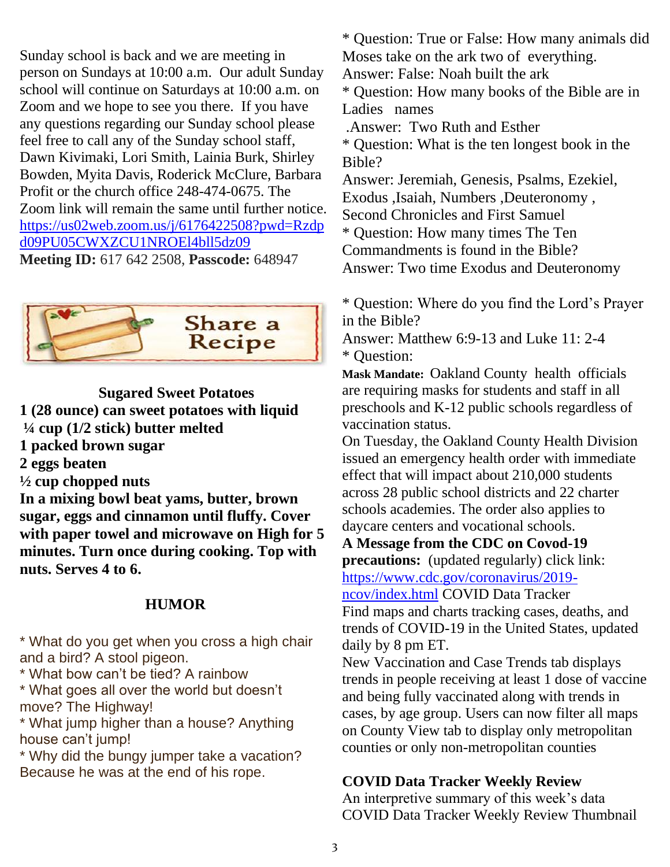Sunday school is back and we are meeting in person on Sundays at 10:00 a.m. Our adult Sunday school will continue on Saturdays at 10:00 a.m. on Zoom and we hope to see you there. If you have any questions regarding our Sunday school please feel free to call any of the Sunday school staff, Dawn Kivimaki, Lori Smith, Lainia Burk, Shirley Bowden, Myita Davis, Roderick McClure, Barbara Profit or the church office 248-474-0675. The Zoom link will remain the same until further notice. [https://us02web.zoom.us/j/6176422508?pwd=Rzdp](https://us02web.zoom.us/j/6176422508?pwd=Rzdpd09PU05CWXZCU1NROEl4bll5dz09) [d09PU05CWXZCU1NROEl4bll5dz09](https://us02web.zoom.us/j/6176422508?pwd=Rzdpd09PU05CWXZCU1NROEl4bll5dz09) **Meeting ID:** 617 642 2508, **Passcode:** 648947



**Sugared Sweet Potatoes 1 (28 ounce) can sweet potatoes with liquid ¼ cup (1/2 stick) butter melted 1 packed brown sugar 2 eggs beaten ½ cup chopped nuts In a mixing bowl beat yams, butter, brown sugar, eggs and cinnamon until fluffy. Cover with paper towel and microwave on High for 5 minutes. Turn once during cooking. Top with nuts. Serves 4 to 6.**

### **HUMOR**

\* What do you get when you cross a high chair and a bird? A stool pigeon.

\* What bow can't be tied? A rainbow

\* What goes all over the world but doesn't move? The Highway!

\* What jump higher than a house? Anything house can't jump!

\* Why did the bungy jumper take a vacation? Because he was at the end of his rope.

\* Question: True or False: How many animals did Moses take on the ark two of everything. Answer: False: Noah built the ark \* Question: How many books of the Bible are in

Ladies names

.Answer: Two Ruth and Esther

\* Question: What is the ten longest book in the Bible?

Answer: Jeremiah, Genesis, Psalms, Ezekiel, Exodus ,Isaiah, Numbers ,Deuteronomy ,

Second Chronicles and First Samuel

\* Question: How many times The Ten

Commandments is found in the Bible?

Answer: Two time Exodus and Deuteronomy

\* Question: Where do you find the Lord's Prayer in the Bible?

Answer: Matthew 6:9-13 and Luke 11: 2-4 \* Question:

**Mask Mandate:** Oakland County [health](https://www.detroitnews.com/story/news/local/oakland-county/2021/08/24/michigan-county-mask-mandate-oakland-county-k-12-students/5574078001/) officials are requiring masks for students and staff in all preschools and K-12 public schools regardless of vaccination status.

On Tuesday, the Oakland County Health Division issued an emergency health order with immediate effect that will impact about 210,000 students across 28 public school districts and 22 charter schools academies. The order also applies to daycare centers and vocational schools.

**A Message from the CDC on Covod-19 precautions:** (updated regularly) click link:

[https://www.cdc.gov/coronavirus/2019-](https://www.cdc.gov/coronavirus/2019-ncov/index.html)

[ncov/index.html](https://www.cdc.gov/coronavirus/2019-ncov/index.html) COVID Data Tracker Find maps and charts tracking cases, deaths, and trends of COVID-19 in the United States, updated daily by 8 pm ET.

New Vaccination and Case Trends tab displays trends in people receiving at least 1 dose of vaccine and being fully vaccinated along with trends in cases, by age group. Users can now filter all maps on County View tab to display only metropolitan counties or only non-metropolitan counties

### **COVID Data Tracker Weekly Review**

An interpretive summary of this week's data COVID Data Tracker Weekly Review Thumbnail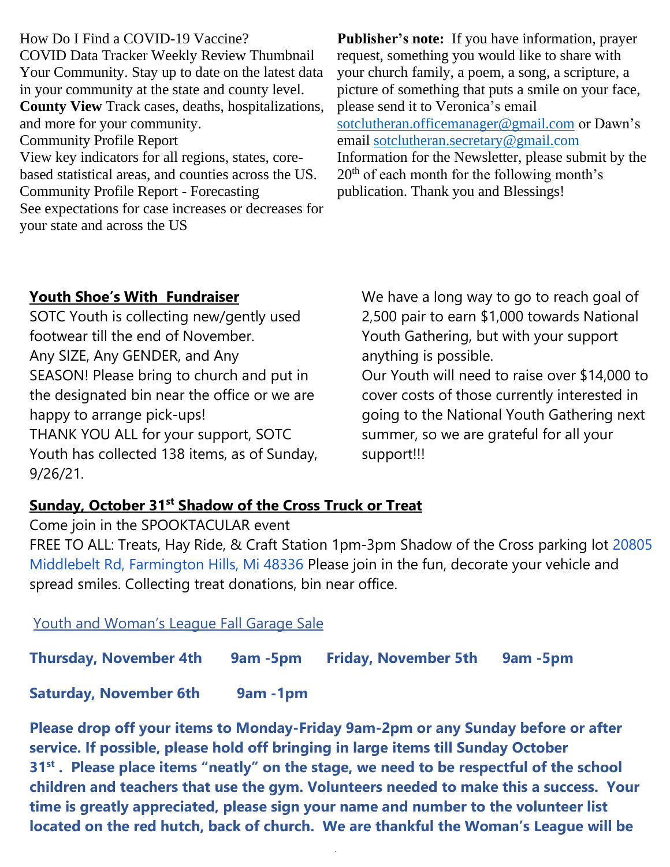How Do I Find a COVID-19 Vaccine? COVID Data Tracker Weekly Review Thumbnail Your Community. Stay up to date on the latest data in your community at the state and county level. **County View** Track cases, deaths, hospitalizations, and more for your community. Community Profile Report View key indicators for all regions, states, corebased statistical areas, and counties across the US. Community Profile Report - Forecasting See expectations for case increases or decreases for your state and across the US

**Publisher's note:** If you have information, prayer request, something you would like to share with your church family, a poem, a song, a scripture, a picture of something that puts a smile on your face, please send it to Veronica's email [sotclutheran.officemanager@gmail.com](mailto:sotclutheran.officemanager@gmail.com) or Dawn's email [sotclutheran.secretary@gmail.com](mailto:sotclutheran.secretary@gmail.com) Information for the Newsletter, please submit by the 20<sup>th</sup> of each month for the following month's publication. Thank you and Blessings!

### **Youth Shoe's With Fundraiser**

SOTC Youth is collecting new/gently used footwear till the end of November. Any SIZE, Any GENDER, and Any SEASON! Please bring to church and put in the designated bin near the office or we are happy to arrange pick-ups! THANK YOU ALL for your support, SOTC Youth has collected 138 items, as of Sunday, 9/26/21.

We have a long way to go to reach goal of 2,500 pair to earn \$1,000 towards National Youth Gathering, but with your support anything is possible.

Our Youth will need to raise over \$14,000 to cover costs of those currently interested in going to the National Youth Gathering next summer, so we are grateful for all your support!!!

### **Sunday, October 31st Shadow of the Cross Truck or Treat**

Come join in the SPOOKTACULAR event FREE TO ALL: Treats, Hay Ride, & Craft Station 1pm-3pm Shadow of the Cross parking lot [20805](https://www.google.com/maps/search/20805+Middlebelt+Rd,+Farmington+Hills,+Mi+48336?entry=gmail&source=g)  [Middlebelt Rd, Farmington Hills, Mi 48336](https://www.google.com/maps/search/20805+Middlebelt+Rd,+Farmington+Hills,+Mi+48336?entry=gmail&source=g) Please join in the fun, decorate your vehicle and spread smiles. Collecting treat donations, bin near office.

Youth and Woman's League Fall Garage Sale

**Thursday, November 4th 9am -5pm Friday, November 5th 9am -5pm**

**Saturday, November 6th 9am -1pm**

**Please drop off your items to Monday-Friday 9am-2pm or any Sunday before or after service. If possible, please hold off bringing in large items till Sunday October 31st . Please place items "neatly" on the stage, we need to be respectful of the school children and teachers that use the gym. Volunteers needed to make this a success. Your time is greatly appreciated, please sign your name and number to the volunteer list located on the red hutch, back of church. We are thankful the Woman's League will be** 

4